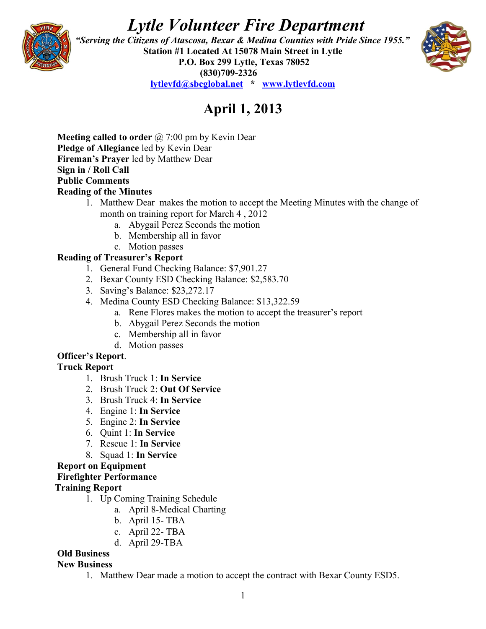# *Lytle Volunteer Fire Department*



 *"Serving the Citizens of Atascosa, Bexar & Medina Counties with Pride Since 1955."*  **Station #1 Located At 15078 Main Street in Lytle P.O. Box 299 Lytle, Texas 78052 (830)709-2326 [lytlevfd@sbcglobal.net](mailto:lytlevfd@sbcglobal.net) \* [www.lytlevfd.com](http://www.lytlevfd.com/)**



# **April 1, 2013**

**Meeting called to order** @ 7:00 pm by Kevin Dear **Pledge of Allegiance** led by Kevin Dear **Fireman's Prayer** led by Matthew Dear **Sign in / Roll Call Public Comments Reading of the Minutes**

- 1. Matthew Dear makes the motion to accept the Meeting Minutes with the change of month on training report for March 4 , 2012
	- a. Abygail Perez Seconds the motion
	- b. Membership all in favor
- c. Motion passes

# **Reading of Treasurer's Report**

- 1. General Fund Checking Balance: \$7,901.27
- 2. Bexar County ESD Checking Balance: \$2,583.70
- 3. Saving's Balance: \$23,272.17
- 4. Medina County ESD Checking Balance: \$13,322.59
	- a. Rene Flores makes the motion to accept the treasurer's report
	- b. Abygail Perez Seconds the motion
	- c. Membership all in favor
	- d. Motion passes

### **Officer's Report**.

#### **Truck Report**

- 1. Brush Truck 1: **In Service**
- 2. Brush Truck 2: **Out Of Service**
- 3. Brush Truck 4: **In Service**
- 4. Engine 1: **In Service**
- 5. Engine 2: **In Service**
- 6. Quint 1: **In Service**
- 7. Rescue 1: **In Service**
- 8. Squad 1: **In Service**

#### **Report on Equipment**

#### **Firefighter Performance**

#### **Training Report**

- 1. Up Coming Training Schedule
	- a. April 8-Medical Charting
	- b. April 15- TBA
	- c. April 22- TBA
	- d. April 29-TBA

# **Old Business**

#### **New Business**

1. Matthew Dear made a motion to accept the contract with Bexar County ESD5.